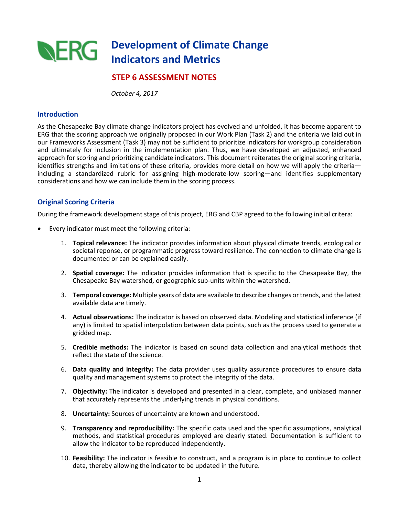

## **STEP 6 ASSESSMENT NOTES**

 *October 4, 2017*

#### **Introduction**

As the Chesapeake Bay climate change indicators project has evolved and unfolded, it has become apparent to ERG that the scoring approach we originally proposed in our Work Plan (Task 2) and the criteria we laid out in our Frameworks Assessment (Task 3) may not be sufficient to prioritize indicators for workgroup consideration and ultimately for inclusion in the implementation plan. Thus, we have developed an adjusted, enhanced approach for scoring and prioritizing candidate indicators. This document reiterates the original scoring criteria, identifies strengths and limitations of these criteria, provides more detail on how we will apply the criteria including a standardized rubric for assigning high-moderate-low scoring—and identifies supplementary considerations and how we can include them in the scoring process.

#### **Original Scoring Criteria**

During the framework development stage of this project, ERG and CBP agreed to the following initial critera:

- Every indicator must meet the following criteria:
	- 1. **Topical relevance:** The indicator provides information about physical climate trends, ecological or societal reponse, or programmatic progress toward resilience. The connection to climate change is documented or can be explained easily.
	- 2. **Spatial coverage:** The indicator provides information that is specific to the Chesapeake Bay, the Chesapeake Bay watershed, or geographic sub-units within the watershed.
	- 3. **Temporal coverage:** Multiple years of data are available to describe changes or trends, and the latest available data are timely.
	- 4. **Actual observations:** The indicator is based on observed data. Modeling and statistical inference (if any) is limited to spatial interpolation between data points, such as the process used to generate a gridded map.
	- 5. **Credible methods:** The indicator is based on sound data collection and analytical methods that reflect the state of the science.
	- 6. **Data quality and integrity:** The data provider uses quality assurance procedures to ensure data quality and management systems to protect the integrity of the data.
	- 7. **Objectivity:** The indicator is developed and presented in a clear, complete, and unbiased manner that accurately represents the underlying trends in physical conditions.
	- 8. **Uncertainty:** Sources of uncertainty are known and understood.
	- 9. **Transparency and reproducibility:** The specific data used and the specific assumptions, analytical methods, and statistical procedures employed are clearly stated. Documentation is sufficient to allow the indicator to be reproduced independently.
	- 10. **Feasibility:** The indicator is feasible to construct, and a program is in place to continue to collect data, thereby allowing the indicator to be updated in the future.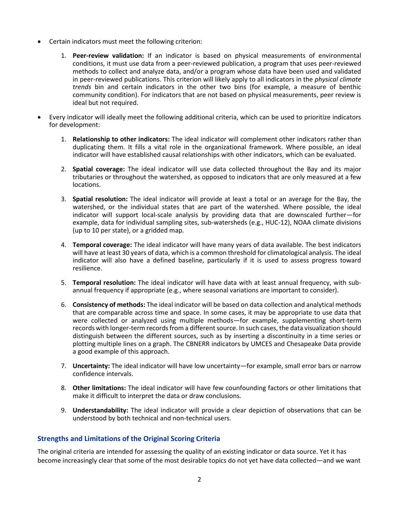- Certain indicators must meet the following criterion:
	- 1. **Peer-review validation:** If an indicator is based on physical measurements of environmental conditions, it must use data from a peer-reviewed publication, a program that uses peer-reviewed methods to collect and analyze data, and/or a program whose data have been used and validated in peer-reviewed publications. This criterion will likely apply to all indicators in the *physical climate trends* bin and certain indicators in the other two bins (for example, a measure of benthic community condition). For indicators that are not based on physical measurements, peer review is ideal but not required.
- Every indicator will ideally meet the following additional criteria, which can be used to prioritize indicators for development:
	- 1. **Relationship to other indicators:** The ideal indicator will complement other indicators rather than duplicating them. It fills a vital role in the organizational framework. Where possible, an ideal indicator will have established causal relationships with other indicators, which can be evaluated.
	- 2. **Spatial coverage:** The ideal indicator will use data collected throughout the Bay and its major tributaries or throughout the watershed, as opposed to indicators that are only measured at a few locations.
	- 3. **Spatial resolution:** The ideal indicator will provide at least a total or an average for the Bay, the watershed, or the individual states that are part of the watershed. Where possible, the ideal indicator will support local-scale analysis by providing data that are downscaled further—for example, data for individual sampling sites, sub-watersheds (e.g., HUC-12), NOAA climate divisions (up to 10 per state), or a gridded map.
	- 4. **Temporal coverage:** The ideal indicator will have many years of data available. The best indicators will have at least 30 years of data, which is a common threshold for climatological analysis. The ideal indicator will also have a defined baseline, particularly if it is used to assess progress toward resilience.
	- 5. **Temporal resolution:** The ideal indicator will have data with at least annual frequency, with subannual frequency if appropriate (e.g., where seasonal variations are important to consider).
	- 6. **Consistency of methods:** The ideal indicator will be based on data collection and analytical methods that are comparable across time and space. In some cases, it may be appropriate to use data that were collected or analyzed using multiple methods—for example, supplementing short-term records with longer-term records from a different source. In such cases, the data visualization should distinguish between the different sources, such as by inserting a discontinuity in a time series or plotting multiple lines on a graph. The CBNERR indicators by UMCES and Chesapeake Data provide a good example of this approach.
	- 7. **Uncertainty:** The ideal indicator will have low uncertainty—for example, small error bars or narrow confidence intervals.
	- 8. **Other limitations:** The ideal indicator will have few counfounding factors or other limitations that make it difficult to interpret the data or draw conclusions.
	- 9. **Understandability:** The ideal indicator will provide a clear depiction of observations that can be understood by both technical and non-technical users.

### **Strengths and Limitations of the Original Scoring Criteria**

The original criteria are intended for assessing the quality of an existing indicator or data source. Yet it has become increasingly clear that some of the most desirable topics do not yet have data collected—and we want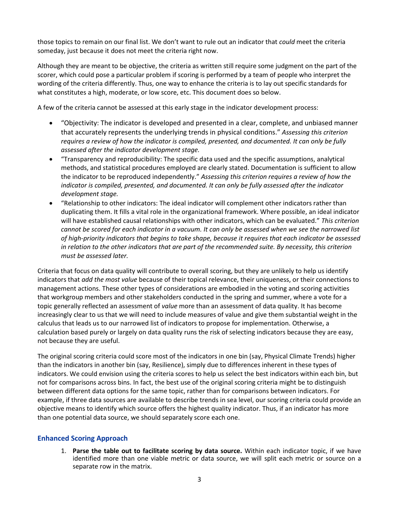those topics to remain on our final list. We don't want to rule out an indicator that *could* meet the criteria someday, just because it does not meet the criteria right now.

Although they are meant to be objective, the criteria as written still require some judgment on the part of the scorer, which could pose a particular problem if scoring is performed by a team of people who interpret the wording of the criteria differently. Thus, one way to enhance the criteria is to lay out specific standards for what constitutes a high, moderate, or low score, etc. This document does so below.

A few of the criteria cannot be assessed at this early stage in the indicator development process:

- "Objectivity: The indicator is developed and presented in a clear, complete, and unbiased manner that accurately represents the underlying trends in physical conditions." *Assessing this criterion requires a review of how the indicator is compiled, presented, and documented. It can only be fully assessed after the indicator development stage.*
- "Transparency and reproducibility: The specific data used and the specific assumptions, analytical methods, and statistical procedures employed are clearly stated. Documentation is sufficient to allow the indicator to be reproduced independently." *Assessing this criterion requires a review of how the indicator is compiled, presented, and documented. It can only be fully assessed after the indicator development stage.*
- "Relationship to other indicators: The ideal indicator will complement other indicators rather than duplicating them. It fills a vital role in the organizational framework. Where possible, an ideal indicator will have established causal relationships with other indicators, which can be evaluated." *This criterion cannot be scored for each indicator in a vacuum. It can only be assessed when we see the narrowed list of high-priority indicators that begins to take shape, because it requires that each indicator be assessed in relation to the other indicators that are part of the recommended suite. By necessity, this criterion must be assessed later.*

Criteria that focus on data quality will contribute to overall scoring, but they are unlikely to help us identify indicators that *add the most value* because of their topical relevance, their uniqueness, or their connections to management actions. These other types of considerations are embodied in the voting and scoring activities that workgroup members and other stakeholders conducted in the spring and summer, where a vote for a topic generally reflected an assessment of *value* more than an assessment of data quality. It has become increasingly clear to us that we will need to include measures of value and give them substantial weight in the calculus that leads us to our narrowed list of indicators to propose for implementation. Otherwise, a calculation based purely or largely on data quality runs the risk of selecting indicators because they are easy, not because they are useful.

The original scoring criteria could score most of the indicators in one bin (say, Physical Climate Trends) higher than the indicators in another bin (say, Resilience), simply due to differences inherent in these types of indicators. We could envision using the criteria scores to help us select the best indicators within each bin, but not for comparisons across bins. In fact, the best use of the original scoring criteria might be to distinguish between different data options for the same topic, rather than for comparisons between indicators. For example, if three data sources are available to describe trends in sea level, our scoring criteria could provide an objective means to identify which source offers the highest quality indicator. Thus, if an indicator has more than one potential data source, we should separately score each one.

### **Enhanced Scoring Approach**

1. **Parse the table out to facilitate scoring by data source.** Within each indicator topic, if we have identified more than one viable metric or data source, we will split each metric or source on a separate row in the matrix.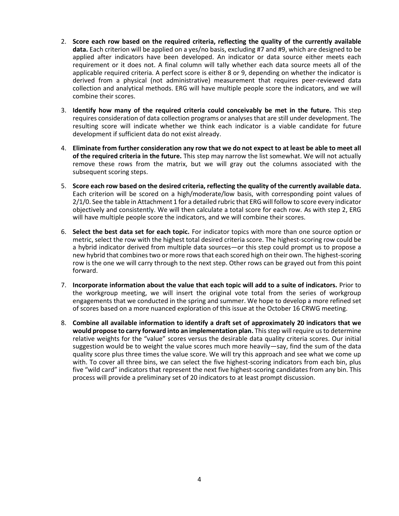- 2. **Score each row based on the required criteria, reflecting the quality of the currently available data.** Each criterion will be applied on a yes/no basis, excluding #7 and #9, which are designed to be applied after indicators have been developed. An indicator or data source either meets each requirement or it does not. A final column will tally whether each data source meets all of the applicable required criteria. A perfect score is either 8 or 9, depending on whether the indicator is derived from a physical (not administrative) measurement that requires peer-reviewed data collection and analytical methods. ERG will have multiple people score the indicators, and we will combine their scores.
- 3. **Identify how many of the required criteria could conceivably be met in the future.** This step requires consideration of data collection programs or analyses that are still under development. The resulting score will indicate whether we think each indicator is a viable candidate for future development if sufficient data do not exist already.
- 4. **Eliminate from further consideration any row that we do not expect to at least be able to meet all of the required criteria in the future.** This step may narrow the list somewhat. We will not actually remove these rows from the matrix, but we will gray out the columns associated with the subsequent scoring steps.
- 5. **Score each row based on the desired criteria, reflecting the quality of the currently available data.** Each criterion will be scored on a high/moderate/low basis, with corresponding point values of 2/1/0. See the table in Attachment 1 for a detailed rubric that ERG will follow to score every indicator objectively and consistently. We will then calculate a total score for each row. As with step 2, ERG will have multiple people score the indicators, and we will combine their scores.
- 6. **Select the best data set for each topic.** For indicator topics with more than one source option or metric, select the row with the highest total desired criteria score. The highest-scoring row could be a hybrid indicator derived from multiple data sources—or this step could prompt us to propose a new hybrid that combines two or more rows that each scored high on their own. The highest-scoring row is the one we will carry through to the next step. Other rows can be grayed out from this point forward.
- 7. **Incorporate information about the value that each topic will add to a suite of indicators.** Prior to the workgroup meeting, we will insert the original vote total from the series of workgroup engagements that we conducted in the spring and summer. We hope to develop a more refined set of scores based on a more nuanced exploration of this issue at the October 16 CRWG meeting.
- 8. **Combine all available information to identify a draft set of approximately 20 indicators that we would propose to carry forward into an implementation plan.** This step will require us to determine relative weights for the "value" scores versus the desirable data quality criteria scores. Our initial suggestion would be to weight the value scores much more heavily—say, find the sum of the data quality score plus three times the value score. We will try this approach and see what we come up with. To cover all three bins, we can select the five highest-scoring indicators from each bin, plus five "wild card" indicators that represent the next five highest-scoring candidates from any bin. This process will provide a preliminary set of 20 indicators to at least prompt discussion.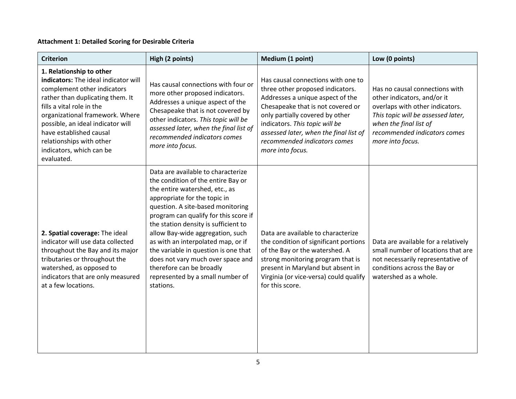# **Attachment 1: Detailed Scoring for Desirable Criteria**

| <b>Criterion</b>                                                                                                                                                                                                                                                                                                                          | High (2 points)                                                                                                                                                                                                                                                                                                                                                                                                                                                                                      | Medium (1 point)                                                                                                                                                                                                                                                                                                   | Low (0 points)                                                                                                                                                                                                       |
|-------------------------------------------------------------------------------------------------------------------------------------------------------------------------------------------------------------------------------------------------------------------------------------------------------------------------------------------|------------------------------------------------------------------------------------------------------------------------------------------------------------------------------------------------------------------------------------------------------------------------------------------------------------------------------------------------------------------------------------------------------------------------------------------------------------------------------------------------------|--------------------------------------------------------------------------------------------------------------------------------------------------------------------------------------------------------------------------------------------------------------------------------------------------------------------|----------------------------------------------------------------------------------------------------------------------------------------------------------------------------------------------------------------------|
| 1. Relationship to other<br>indicators: The ideal indicator will<br>complement other indicators<br>rather than duplicating them. It<br>fills a vital role in the<br>organizational framework. Where<br>possible, an ideal indicator will<br>have established causal<br>relationships with other<br>indicators, which can be<br>evaluated. | Has causal connections with four or<br>more other proposed indicators.<br>Addresses a unique aspect of the<br>Chesapeake that is not covered by<br>other indicators. This topic will be<br>assessed later, when the final list of<br>recommended indicators comes<br>more into focus.                                                                                                                                                                                                                | Has causal connections with one to<br>three other proposed indicators.<br>Addresses a unique aspect of the<br>Chesapeake that is not covered or<br>only partially covered by other<br>indicators. This topic will be<br>assessed later, when the final list of<br>recommended indicators comes<br>more into focus. | Has no causal connections with<br>other indicators, and/or it<br>overlaps with other indicators.<br>This topic will be assessed later,<br>when the final list of<br>recommended indicators comes<br>more into focus. |
| 2. Spatial coverage: The ideal<br>indicator will use data collected<br>throughout the Bay and its major<br>tributaries or throughout the<br>watershed, as opposed to<br>indicators that are only measured<br>at a few locations.                                                                                                          | Data are available to characterize<br>the condition of the entire Bay or<br>the entire watershed, etc., as<br>appropriate for the topic in<br>question. A site-based monitoring<br>program can qualify for this score if<br>the station density is sufficient to<br>allow Bay-wide aggregation, such<br>as with an interpolated map, or if<br>the variable in question is one that<br>does not vary much over space and<br>therefore can be broadly<br>represented by a small number of<br>stations. | Data are available to characterize<br>the condition of significant portions<br>of the Bay or the watershed. A<br>strong monitoring program that is<br>present in Maryland but absent in<br>Virginia (or vice-versa) could qualify<br>for this score.                                                               | Data are available for a relatively<br>small number of locations that are<br>not necessarily representative of<br>conditions across the Bay or<br>watershed as a whole.                                              |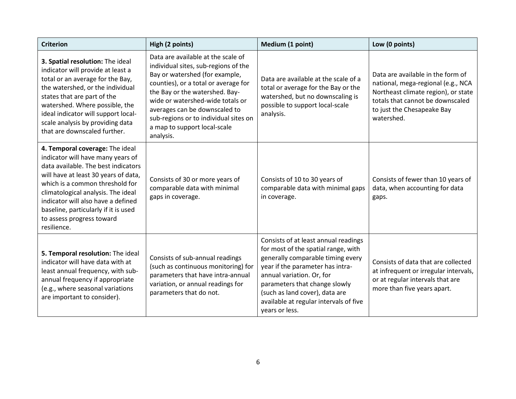| <b>Criterion</b>                                                                                                                                                                                                                                                                                                                                       | High (2 points)                                                                                                                                                                                                                                                                                                                                   | Medium (1 point)                                                                                                                                                                                                                                                                                                 | Low (0 points)                                                                                                                                                                                 |
|--------------------------------------------------------------------------------------------------------------------------------------------------------------------------------------------------------------------------------------------------------------------------------------------------------------------------------------------------------|---------------------------------------------------------------------------------------------------------------------------------------------------------------------------------------------------------------------------------------------------------------------------------------------------------------------------------------------------|------------------------------------------------------------------------------------------------------------------------------------------------------------------------------------------------------------------------------------------------------------------------------------------------------------------|------------------------------------------------------------------------------------------------------------------------------------------------------------------------------------------------|
| 3. Spatial resolution: The ideal<br>indicator will provide at least a<br>total or an average for the Bay,<br>the watershed, or the individual<br>states that are part of the<br>watershed. Where possible, the<br>ideal indicator will support local-<br>scale analysis by providing data<br>that are downscaled further.                              | Data are available at the scale of<br>individual sites, sub-regions of the<br>Bay or watershed (for example,<br>counties), or a total or average for<br>the Bay or the watershed. Bay-<br>wide or watershed-wide totals or<br>averages can be downscaled to<br>sub-regions or to individual sites on<br>a map to support local-scale<br>analysis. | Data are available at the scale of a<br>total or average for the Bay or the<br>watershed, but no downscaling is<br>possible to support local-scale<br>analysis.                                                                                                                                                  | Data are available in the form of<br>national, mega-regional (e.g., NCA<br>Northeast climate region), or state<br>totals that cannot be downscaled<br>to just the Chesapeake Bay<br>watershed. |
| 4. Temporal coverage: The ideal<br>indicator will have many years of<br>data available. The best indicators<br>will have at least 30 years of data,<br>which is a common threshold for<br>climatological analysis. The ideal<br>indicator will also have a defined<br>baseline, particularly if it is used<br>to assess progress toward<br>resilience. | Consists of 30 or more years of<br>comparable data with minimal<br>gaps in coverage.                                                                                                                                                                                                                                                              | Consists of 10 to 30 years of<br>comparable data with minimal gaps<br>in coverage.                                                                                                                                                                                                                               | Consists of fewer than 10 years of<br>data, when accounting for data<br>gaps.                                                                                                                  |
| 5. Temporal resolution: The ideal<br>indicator will have data with at<br>least annual frequency, with sub-<br>annual frequency if appropriate<br>(e.g., where seasonal variations<br>are important to consider).                                                                                                                                       | Consists of sub-annual readings<br>(such as continuous monitoring) for<br>parameters that have intra-annual<br>variation, or annual readings for<br>parameters that do not.                                                                                                                                                                       | Consists of at least annual readings<br>for most of the spatial range, with<br>generally comparable timing every<br>year if the parameter has intra-<br>annual variation. Or, for<br>parameters that change slowly<br>(such as land cover), data are<br>available at regular intervals of five<br>years or less. | Consists of data that are collected<br>at infrequent or irregular intervals,<br>or at regular intervals that are<br>more than five years apart.                                                |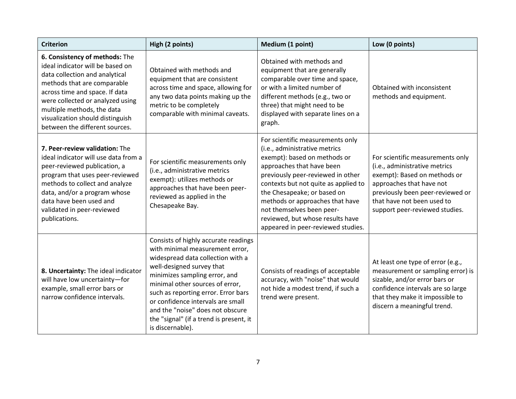| <b>Criterion</b>                                                                                                                                                                                                                                                                                              | High (2 points)                                                                                                                                                                                                                                                                                                                                                                              | Medium (1 point)                                                                                                                                                                                                                                                                                                                                                                     | Low (0 points)                                                                                                                                                                                                                    |
|---------------------------------------------------------------------------------------------------------------------------------------------------------------------------------------------------------------------------------------------------------------------------------------------------------------|----------------------------------------------------------------------------------------------------------------------------------------------------------------------------------------------------------------------------------------------------------------------------------------------------------------------------------------------------------------------------------------------|--------------------------------------------------------------------------------------------------------------------------------------------------------------------------------------------------------------------------------------------------------------------------------------------------------------------------------------------------------------------------------------|-----------------------------------------------------------------------------------------------------------------------------------------------------------------------------------------------------------------------------------|
| 6. Consistency of methods: The<br>ideal indicator will be based on<br>data collection and analytical<br>methods that are comparable<br>across time and space. If data<br>were collected or analyzed using<br>multiple methods, the data<br>visualization should distinguish<br>between the different sources. | Obtained with methods and<br>equipment that are consistent<br>across time and space, allowing for<br>any two data points making up the<br>metric to be completely<br>comparable with minimal caveats.                                                                                                                                                                                        | Obtained with methods and<br>equipment that are generally<br>comparable over time and space,<br>or with a limited number of<br>different methods (e.g., two or<br>three) that might need to be<br>displayed with separate lines on a<br>graph.                                                                                                                                       | Obtained with inconsistent<br>methods and equipment.                                                                                                                                                                              |
| 7. Peer-review validation: The<br>ideal indicator will use data from a<br>peer-reviewed publication, a<br>program that uses peer-reviewed<br>methods to collect and analyze<br>data, and/or a program whose<br>data have been used and<br>validated in peer-reviewed<br>publications.                         | For scientific measurements only<br>(i.e., administrative metrics<br>exempt): utilizes methods or<br>approaches that have been peer-<br>reviewed as applied in the<br>Chesapeake Bay.                                                                                                                                                                                                        | For scientific measurements only<br>(i.e., administrative metrics<br>exempt): based on methods or<br>approaches that have been<br>previously peer-reviewed in other<br>contexts but not quite as applied to<br>the Chesapeake; or based on<br>methods or approaches that have<br>not themselves been peer-<br>reviewed, but whose results have<br>appeared in peer-reviewed studies. | For scientific measurements only<br>(i.e., administrative metrics<br>exempt): Based on methods or<br>approaches that have not<br>previously been peer-reviewed or<br>that have not been used to<br>support peer-reviewed studies. |
| 8. Uncertainty: The ideal indicator<br>will have low uncertainty-for<br>example, small error bars or<br>narrow confidence intervals.                                                                                                                                                                          | Consists of highly accurate readings<br>with minimal measurement error,<br>widespread data collection with a<br>well-designed survey that<br>minimizes sampling error, and<br>minimal other sources of error,<br>such as reporting error. Error bars<br>or confidence intervals are small<br>and the "noise" does not obscure<br>the "signal" (if a trend is present, it<br>is discernable). | Consists of readings of acceptable<br>accuracy, with "noise" that would<br>not hide a modest trend, if such a<br>trend were present.                                                                                                                                                                                                                                                 | At least one type of error (e.g.,<br>measurement or sampling error) is<br>sizable, and/or error bars or<br>confidence intervals are so large<br>that they make it impossible to<br>discern a meaningful trend.                    |